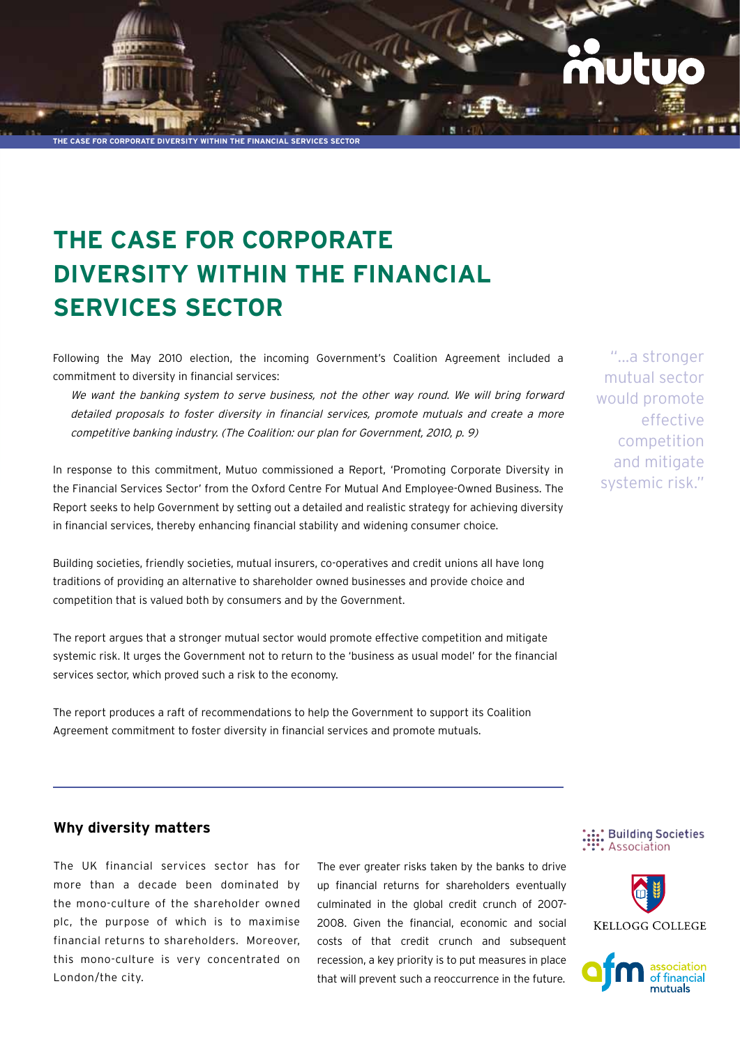**The Case for corporate diversity within the financial services sector**

# **The Case for Corporate diversity within the financial services sector**

Following the May 2010 election, the incoming Government's Coalition Agreement included a commitment to diversity in financial services:

We want the banking system to serve business, not the other way round. We will bring forward detailed proposals to foster diversity in financial services, promote mutuals and create a more competitive banking industry. (The Coalition: our plan for Government, 2010, p. 9)

In response to this commitment, Mutuo commissioned a Report, 'Promoting Corporate Diversity in the Financial Services Sector' from the Oxford Centre For Mutual And Employee-Owned Business. The Report seeks to help Government by setting out a detailed and realistic strategy for achieving diversity in financial services, thereby enhancing financial stability and widening consumer choice.

Building societies, friendly societies, mutual insurers, co-operatives and credit unions all have long traditions of providing an alternative to shareholder owned businesses and provide choice and competition that is valued both by consumers and by the Government.

The report argues that a stronger mutual sector would promote effective competition and mitigate systemic risk. It urges the Government not to return to the 'business as usual model' for the financial services sector, which proved such a risk to the economy.

The report produces a raft of recommendations to help the Government to support its Coalition Agreement commitment to foster diversity in financial services and promote mutuals.

"...a stronger mutual sector would promote effective competition and mitigate systemic risk."

## **Why diversity matters**

The UK financial services sector has for more than a decade been dominated by the mono-culture of the shareholder owned plc, the purpose of which is to maximise financial returns to shareholders. Moreover, this mono-culture is very concentrated on London/the city.

The ever greater risks taken by the banks to drive up financial returns for shareholders eventually culminated in the global credit crunch of 2007- 2008. Given the financial, economic and social costs of that credit crunch and subsequent recession, a key priority is to put measures in place that will prevent such a reoccurrence in the future.





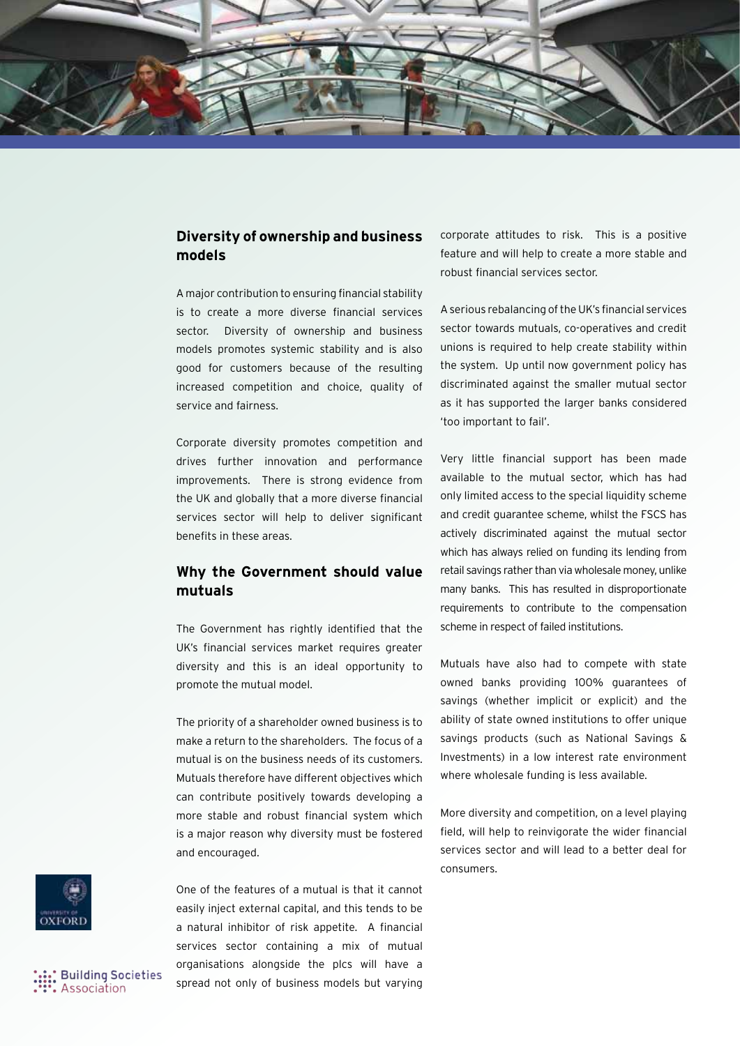

## **Diversity of ownership and business models**

A major contribution to ensuring financial stability is to create a more diverse financial services sector. Diversity of ownership and business models promotes systemic stability and is also good for customers because of the resulting increased competition and choice, quality of service and fairness.

Corporate diversity promotes competition and drives further innovation and performance improvements. There is strong evidence from the UK and globally that a more diverse financial services sector will help to deliver significant benefits in these areas.

# **Why the Government should value mutuals**

The Government has rightly identified that the UK's financial services market requires greater diversity and this is an ideal opportunity to promote the mutual model.

The priority of a shareholder owned business is to make a return to the shareholders. The focus of a mutual is on the business needs of its customers. Mutuals therefore have different objectives which can contribute positively towards developing a more stable and robust financial system which is a major reason why diversity must be fostered and encouraged.

One of the features of a mutual is that it cannot easily inject external capital, and this tends to be a natural inhibitor of risk appetite. A financial services sector containing a mix of mutual organisations alongside the plcs will have a spread not only of business models but varying corporate attitudes to risk. This is a positive feature and will help to create a more stable and robust financial services sector.

A serious rebalancing of the UK's financial services sector towards mutuals, co-operatives and credit unions is required to help create stability within the system. Up until now government policy has discriminated against the smaller mutual sector as it has supported the larger banks considered 'too important to fail'.

Very little financial support has been made available to the mutual sector, which has had only limited access to the special liquidity scheme and credit guarantee scheme, whilst the FSCS has actively discriminated against the mutual sector which has always relied on funding its lending from retail savings rather than via wholesale money, unlike many banks. This has resulted in disproportionate requirements to contribute to the compensation scheme in respect of failed institutions.

Mutuals have also had to compete with state owned banks providing 100% guarantees of savings (whether implicit or explicit) and the ability of state owned institutions to offer unique savings products (such as National Savings & Investments) in a low interest rate environment where wholesale funding is less available.

More diversity and competition, on a level playing field, will help to reinvigorate the wider financial services sector and will lead to a better deal for consumers.



**Building Societies** Association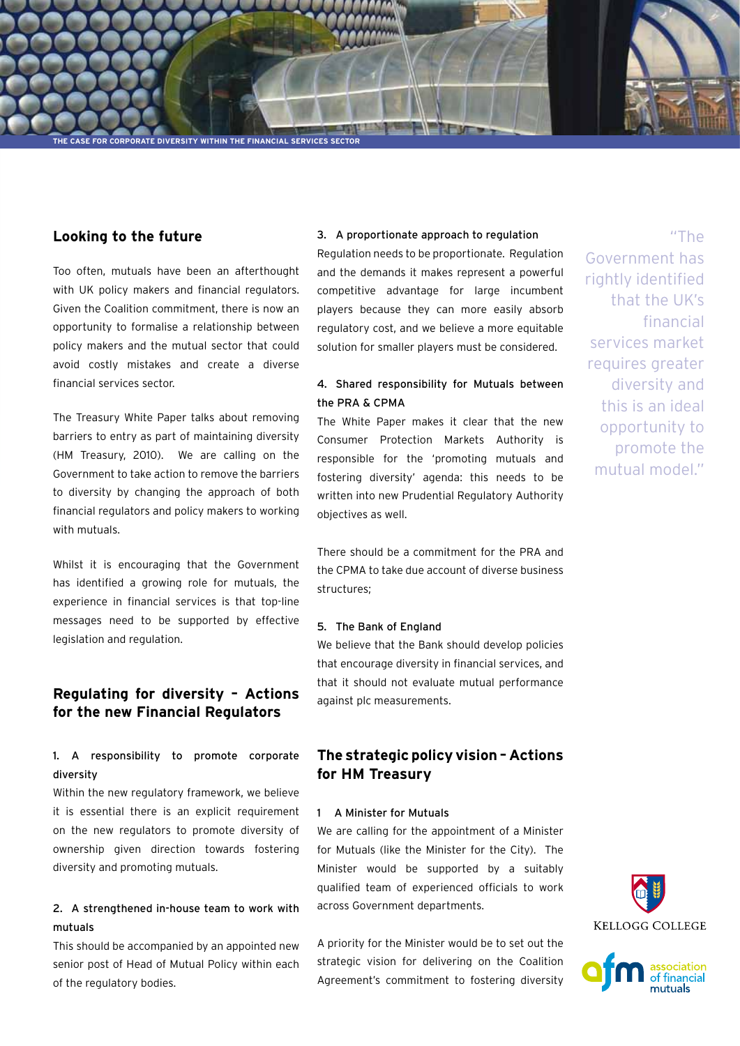

#### **Looking to the future**

Too often, mutuals have been an afterthought with UK policy makers and financial regulators. Given the Coalition commitment, there is now an opportunity to formalise a relationship between policy makers and the mutual sector that could avoid costly mistakes and create a diverse financial services sector.

The Treasury White Paper talks about removing barriers to entry as part of maintaining diversity (HM Treasury, 2010). We are calling on the Government to take action to remove the barriers to diversity by changing the approach of both financial regulators and policy makers to working with mutuals.

Whilst it is encouraging that the Government has identified a growing role for mutuals, the experience in financial services is that top-line messages need to be supported by effective legislation and regulation.

# **Regulating for diversity – Actions for the new Financial Regulators**

## 1. A responsibility to promote corporate diversity

Within the new regulatory framework, we believe it is essential there is an explicit requirement on the new regulators to promote diversity of ownership given direction towards fostering diversity and promoting mutuals.

## 2. A strengthened in-house team to work with mutuals

This should be accompanied by an appointed new senior post of Head of Mutual Policy within each of the regulatory bodies.

#### 3. A proportionate approach to regulation

Regulation needs to be proportionate. Regulation and the demands it makes represent a powerful competitive advantage for large incumbent players because they can more easily absorb regulatory cost, and we believe a more equitable solution for smaller players must be considered.

## 4. Shared responsibility for Mutuals between the PRA & CPMA

The White Paper makes it clear that the new Consumer Protection Markets Authority is responsible for the 'promoting mutuals and fostering diversity' agenda: this needs to be written into new Prudential Regulatory Authority objectives as well.

There should be a commitment for the PRA and the CPMA to take due account of diverse business structures;

#### 5. The Bank of England

We believe that the Bank should develop policies that encourage diversity in financial services, and that it should not evaluate mutual performance against plc measurements.

# **The strategic policy vision – Actions for HM Treasury**

#### 1 A Minister for Mutuals

We are calling for the appointment of a Minister for Mutuals (like the Minister for the City). The Minister would be supported by a suitably qualified team of experienced officials to work across Government departments.

A priority for the Minister would be to set out the strategic vision for delivering on the Coalition Agreement's commitment to fostering diversity

"The Government has rightly identified that the UK's financial services market requires greater diversity and this is an ideal opportunity to promote the mutual model."